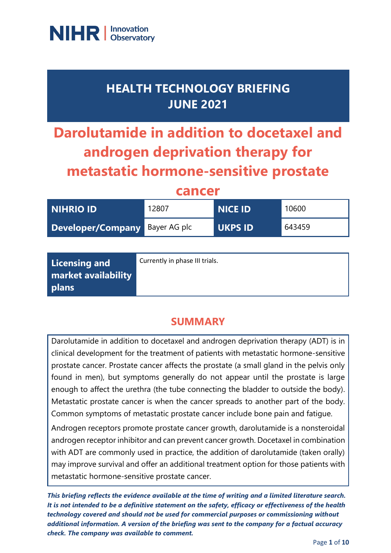

## **HEALTH TECHNOLOGY BRIEFING JUNE 2021**

# **Darolutamide in addition to docetaxel and androgen deprivation therapy for metastatic hormone-sensitive prostate**

**cancer**

| <b>NIHRIO ID</b>               | 12807 | <b>NICE ID</b> | 10600  |
|--------------------------------|-------|----------------|--------|
| Developer/Company Bayer AG plc |       | <b>UKPS ID</b> | 643459 |

| Licensing and              | Currently in phase III trials. |
|----------------------------|--------------------------------|
| <b>market availability</b> |                                |
| <b>plans</b>               |                                |

### **SUMMARY**

Darolutamide in addition to docetaxel and androgen deprivation therapy (ADT) is in clinical development for the treatment of patients with metastatic hormone-sensitive prostate cancer. Prostate cancer affects the prostate (a small gland in the pelvis only found in men), but symptoms generally do not appear until the prostate is large enough to affect the urethra (the tube connecting the bladder to outside the body). Metastatic prostate cancer is when the cancer spreads to another part of the body. Common symptoms of metastatic prostate cancer include bone pain and fatigue.

Androgen receptors promote prostate cancer growth, darolutamide is a nonsteroidal androgen receptor inhibitor and can prevent cancer growth. Docetaxel in combination with ADT are commonly used in practice, the addition of darolutamide (taken orally) may improve survival and offer an additional treatment option for those patients with metastatic hormone-sensitive prostate cancer.

*This briefing reflects the evidence available at the time of writing and a limited literature search. It is not intended to be a definitive statement on the safety, efficacy or effectiveness of the health technology covered and should not be used for commercial purposes or commissioning without additional information. A version of the briefing was sent to the company for a factual accuracy check. The company was available to comment.*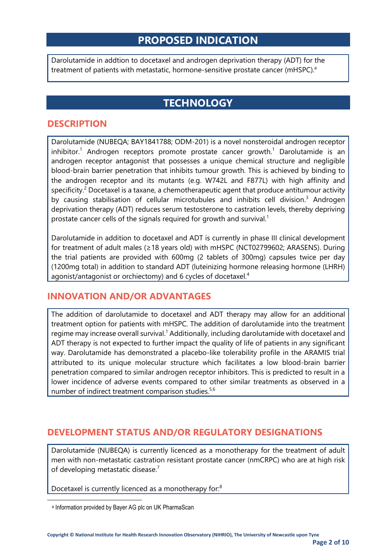### **PROPOSED INDICATION**

Darolutamide in addtion to docetaxel and androgen deprivation therapy (ADT) for the treatment of patients with metastatic, hormone-sensitive prostate cancer (mHSPC).<sup>a</sup>

### **TECHNOLOGY**

#### **DESCRIPTION**

Darolutamide (NUBEQA; BAY1841788; ODM-201) is a novel nonsteroidal androgen receptor inhibitor.<sup>1</sup> Androgen receptors promote prostate cancer growth.<sup>1</sup> Darolutamide is an androgen receptor antagonist that possesses a unique chemical structure and negligible blood-brain barrier penetration that inhibits tumour growth. This is achieved by binding to the androgen receptor and its mutants (e.g. W742L and F877L) with high affinity and specificity.<sup>2</sup> Docetaxel is a taxane, a chemotherapeutic agent that produce antitumour activity by causing stabilisation of cellular microtubules and inhibits cell division.<sup>3</sup> Androgen deprivation therapy (ADT) reduces serum testosterone to castration levels, thereby depriving prostate cancer cells of the signals required for growth and survival.<sup>1</sup>

Darolutamide in addition to docetaxel and ADT is currently in phase III clinical development for treatment of adult males (≥18 years old) with mHSPC (NCT02799602; ARASENS). During the trial patients are provided with 600mg (2 tablets of 300mg) capsules twice per day (1200mg total) in addition to standard ADT (luteinizing hormone releasing hormone (LHRH) agonist/antagonist or orchiectomy) and 6 cycles of docetaxel.<sup>4</sup>

#### **INNOVATION AND/OR ADVANTAGES**

The addition of darolutamide to docetaxel and ADT therapy may allow for an additional treatment option for patients with mHSPC. The addition of darolutamide into the treatment regime may increase overall survival.<sup>1</sup> Additionally, including darolutamide with docetaxel and ADT therapy is not expected to further impact the quality of life of patients in any significant way. Darolutamide has demonstrated a placebo-like tolerability profile in the ARAMIS trial attributed to its unique molecular structure which facilitates a low blood-brain barrier penetration compared to similar androgen receptor inhibitors. This is predicted to result in a lower incidence of adverse events compared to other similar treatments as observed in a number of indirect treatment comparison studies.<sup>5,6</sup>

#### **DEVELOPMENT STATUS AND/OR REGULATORY DESIGNATIONS**

Darolutamide (NUBEQA) is currently licenced as a monotherapy for the treatment of adult men with non-metastatic castration resistant prostate cancer (nmCRPC) who are at high risk of developing metastatic disease.<sup>7</sup>

Docetaxel is currently licenced as a monotherapy for:<sup>8</sup>

a Information provided by Bayer AG plc on UK PharmaScan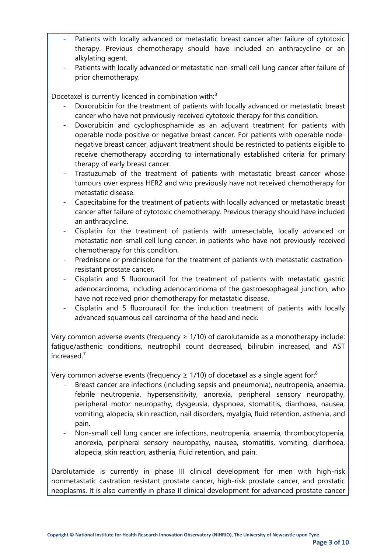- Patients with locally advanced or metastatic breast cancer after failure of cytotoxic therapy. Previous chemotherapy should have included an anthracycline or an alkylating agent.
- Patients with locally advanced or metastatic non-small cell lung cancer after failure of prior chemotherapy.

Docetaxel is currently licenced in combination with:<sup>8</sup>

- Doxorubicin for the treatment of patients with locally advanced or metastatic breast cancer who have not previously received cytotoxic therapy for this condition.
- Doxorubicin and cyclophosphamide as an adjuvant treatment for patients with operable node positive or negative breast cancer. For patients with operable nodenegative breast cancer, adjuvant treatment should be restricted to patients eligible to receive chemotherapy according to internationally established criteria for primary therapy of early breast cancer.
- Trastuzumab of the treatment of patients with metastatic breast cancer whose tumours over express HER2 and who previously have not received chemotherapy for metastatic disease.
- Capecitabine for the treatment of patients with locally advanced or metastatic breast cancer after failure of cytotoxic chemotherapy. Previous therapy should have included an anthracycline.
- Cisplatin for the treatment of patients with unresectable, locally advanced or metastatic non-small cell lung cancer, in patients who have not previously received chemotherapy for this condition.
- Prednisone or prednisolone for the treatment of patients with metastatic castrationresistant prostate cancer.
- Cisplatin and 5 fluorouracil for the treatment of patients with metastatic gastric adenocarcinoma, including adenocarcinoma of the gastroesophageal junction, who have not received prior chemotherapy for metastatic disease.
- Cisplatin and 5 fluorouracil for the induction treatment of patients with locally advanced squamous cell carcinoma of the head and neck.

Very common adverse events (frequency  $\geq 1/10$ ) of darolutamide as a monotherapy include: fatigue/asthenic conditions, neutrophil count decreased, bilirubin increased, and AST increased.<sup>7</sup>

Very common adverse events (frequency  $\geq$  1/10) of docetaxel as a single agent for:<sup>8</sup>

- Breast cancer are infections (including sepsis and pneumonia), neutropenia, anaemia, febrile neutropenia, hypersensitivity, anorexia, peripheral sensory neuropathy, peripheral motor neuropathy, dysgeusia, dyspnoea, stomatitis, diarrhoea, nausea, vomiting, alopecia, skin reaction, nail disorders, myalgia, fluid retention, asthenia, and pain.
- Non-small cell lung cancer are infections, neutropenia, anaemia, thrombocytopenia, anorexia, peripheral sensory neuropathy, nausea, stomatitis, vomiting, diarrhoea, alopecia, skin reaction, asthenia, fluid retention, and pain.

Darolutamide is currently in phase III clinical development for men with high-risk nonmetastatic castration resistant prostate cancer, high-risk prostate cancer, and prostatic neoplasms. It is also currently in phase II clinical development for advanced prostate cancer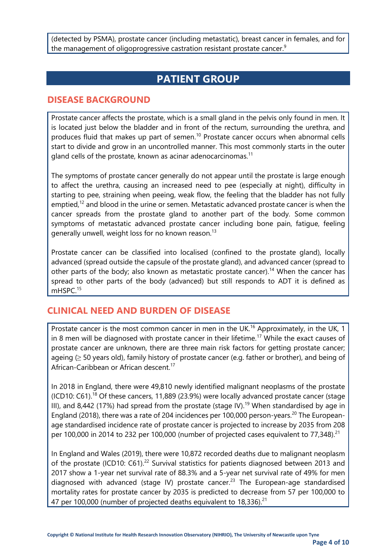(detected by PSMA), prostate cancer (including metastatic), breast cancer in females, and for the management of oligoprogressive castration resistant prostate cancer.<sup>9</sup>

### **PATIENT GROUP**

#### **DISEASE BACKGROUND**

Prostate cancer affects the prostate, which is a small gland in the pelvis only found in men. It is located just below the bladder and in front of the rectum, surrounding the urethra, and produces fluid that makes up part of semen.<sup>10</sup> Prostate cancer occurs when abnormal cells start to divide and grow in an uncontrolled manner. This most commonly starts in the outer gland cells of the prostate, known as acinar adenocarcinomas.<sup>11</sup>

The symptoms of prostate cancer generally do not appear until the prostate is large enough to affect the urethra, causing an increased need to pee (especially at night), difficulty in starting to pee, straining when peeing, weak flow, the feeling that the bladder has not fully emptied,<sup>12</sup> and blood in the urine or semen. Metastatic advanced prostate cancer is when the cancer spreads from the prostate gland to another part of the body. Some common symptoms of metastatic advanced prostate cancer including bone pain, fatigue, feeling generally unwell, weight loss for no known reason.<sup>13</sup>

Prostate cancer can be classified into localised (confined to the prostate gland), locally advanced (spread outside the capsule of the prostate gland), and advanced cancer (spread to other parts of the body; also known as metastatic prostate cancer).<sup>14</sup> When the cancer has spread to other parts of the body (advanced) but still responds to ADT it is defined as mHSPC.<sup>15</sup>

#### **CLINICAL NEED AND BURDEN OF DISEASE**

Prostate cancer is the most common cancer in men in the UK.<sup>16</sup> Approximately, in the UK, 1 in 8 men will be diagnosed with prostate cancer in their lifetime.<sup>17</sup> While the exact causes of prostate cancer are unknown, there are three main risk factors for getting prostate cancer; ageing (≥ 50 years old), family history of prostate cancer (e.g. father or brother), and being of African-Caribbean or African descent.<sup>17</sup>

In 2018 in England, there were 49,810 newly identified malignant neoplasms of the prostate (ICD10: C61).<sup>18</sup> Of these cancers, 11,889 (23.9%) were locally advanced prostate cancer (stage III), and 8,442 (17%) had spread from the prostate (stage IV).<sup>19</sup> When standardised by age in England (2018), there was a rate of 204 incidences per 100,000 person-years.<sup>20</sup> The Europeanage standardised incidence rate of prostate cancer is projected to increase by 2035 from 208 per 100,000 in 2014 to 232 per 100,000 (number of projected cases equivalent to 77,348).<sup>21</sup>

In England and Wales (2019), there were 10,872 recorded deaths due to malignant neoplasm of the prostate (ICD10: C61).<sup>22</sup> Survival statistics for patients diagnosed between 2013 and 2017 show a 1-year net survival rate of 88.3% and a 5-year net survival rate of 49% for men diagnosed with advanced (stage IV) prostate cancer.<sup>23</sup> The European-age standardised mortality rates for prostate cancer by 2035 is predicted to decrease from 57 per 100,000 to 47 per 100,000 (number of projected deaths equivalent to 18,336). $^{21}$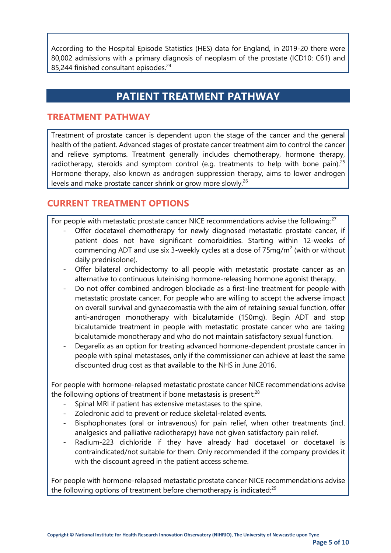According to the Hospital Episode Statistics (HES) data for England, in 2019-20 there were 80,002 admissions with a primary diagnosis of neoplasm of the prostate (ICD10: C61) and 85,244 finished consultant episodes.<sup>24</sup>

### **PATIENT TREATMENT PATHWAY**

#### **TREATMENT PATHWAY**

Treatment of prostate cancer is dependent upon the stage of the cancer and the general health of the patient. Advanced stages of prostate cancer treatment aim to control the cancer and relieve symptoms. Treatment generally includes chemotherapy, hormone therapy, radiotherapy, steroids and symptom control (e.g. treatments to help with bone pain).<sup>25</sup> Hormone therapy, also known as androgen suppression therapy, aims to lower androgen levels and make prostate cancer shrink or grow more slowly.<sup>26</sup>

#### **CURRENT TREATMENT OPTIONS**

For people with metastatic prostate cancer NICE recommendations advise the following: $27$ 

- Offer docetaxel chemotherapy for newly diagnosed metastatic prostate cancer, if patient does not have significant comorbidities. Starting within 12-weeks of commencing ADT and use six 3-weekly cycles at a dose of  $75mg/m<sup>2</sup>$  (with or without daily prednisolone).
- Offer bilateral orchidectomy to all people with metastatic prostate cancer as an alternative to continuous luteinising hormone-releasing hormone agonist therapy.
- Do not offer combined androgen blockade as a first-line treatment for people with metastatic prostate cancer. For people who are willing to accept the adverse impact on overall survival and gynaecomastia with the aim of retaining sexual function, offer anti-androgen monotherapy with bicalutamide (150mg). Begin ADT and stop bicalutamide treatment in people with metastatic prostate cancer who are taking bicalutamide monotherapy and who do not maintain satisfactory sexual function.
- Degarelix as an option for treating advanced hormone-dependent prostate cancer in people with spinal metastases, only if the commissioner can achieve at least the same discounted drug cost as that available to the NHS in June 2016.

For people with hormone-relapsed metastatic prostate cancer NICE recommendations advise the following options of treatment if bone metastasis is present: $28$ 

- Spinal MRI if patient has extensive metastases to the spine.
- Zoledronic acid to prevent or reduce skeletal-related events.
- Bisphophonates (oral or intravenous) for pain relief, when other treatments (incl. analgesics and palliative radiotherapy) have not given satisfactory pain relief.
- Radium-223 dichloride if they have already had docetaxel or docetaxel is contraindicated/not suitable for them. Only recommended if the company provides it with the discount agreed in the patient access scheme.

For people with hormone-relapsed metastatic prostate cancer NICE recommendations advise the following options of treatment before chemotherapy is indicated: $29$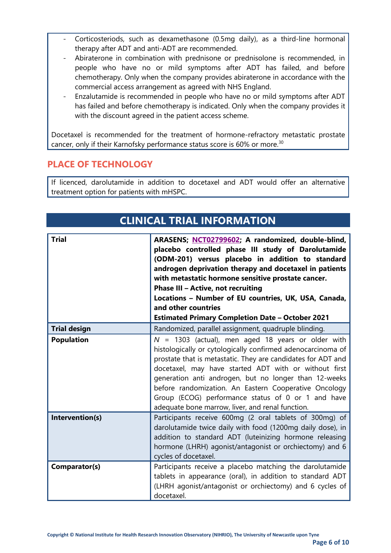- Corticosteriods, such as dexamethasone (0.5mg daily), as a third-line hormonal therapy after ADT and anti-ADT are recommended.
- Abiraterone in combination with prednisone or prednisolone is recommended, in people who have no or mild symptoms after ADT has failed, and before chemotherapy. Only when the company provides abiraterone in accordance with the commercial access arrangement as agreed with NHS England.
- Enzalutamide is recommended in people who have no or mild symptoms after ADT has failed and before chemotherapy is indicated. Only when the company provides it with the discount agreed in the patient access scheme.

Docetaxel is recommended for the treatment of hormone-refractory metastatic prostate cancer, only if their Karnofsky performance status score is 60% or more.<sup>30</sup>

#### **PLACE OF TECHNOLOGY**

If licenced, darolutamide in addition to docetaxel and ADT would offer an alternative treatment option for patients with mHSPC.

| <b>CLINICAL TRIAL INFORMATION</b> |                                                                                                                                                                                                                                                                                                                                                                                                                                                                          |  |
|-----------------------------------|--------------------------------------------------------------------------------------------------------------------------------------------------------------------------------------------------------------------------------------------------------------------------------------------------------------------------------------------------------------------------------------------------------------------------------------------------------------------------|--|
| <b>Trial</b>                      | ARASENS; NCT02799602; A randomized, double-blind,<br>placebo controlled phase III study of Darolutamide<br>(ODM-201) versus placebo in addition to standard<br>androgen deprivation therapy and docetaxel in patients<br>with metastatic hormone sensitive prostate cancer.<br>Phase III - Active, not recruiting<br>Locations - Number of EU countries, UK, USA, Canada,<br>and other countries<br><b>Estimated Primary Completion Date - October 2021</b>              |  |
| <b>Trial design</b>               | Randomized, parallel assignment, quadruple blinding.                                                                                                                                                                                                                                                                                                                                                                                                                     |  |
| <b>Population</b>                 | $N = 1303$ (actual), men aged 18 years or older with<br>histologically or cytologically confirmed adenocarcinoma of<br>prostate that is metastatic. They are candidates for ADT and<br>docetaxel, may have started ADT with or without first<br>generation anti androgen, but no longer than 12-weeks<br>before randomization. An Eastern Cooperative Oncology<br>Group (ECOG) performance status of 0 or 1 and have<br>adequate bone marrow, liver, and renal function. |  |
| Intervention(s)                   | Participants receive 600mg (2 oral tablets of 300mg) of<br>darolutamide twice daily with food (1200mg daily dose), in<br>addition to standard ADT (luteinizing hormone releasing<br>hormone (LHRH) agonist/antagonist or orchiectomy) and 6<br>cycles of docetaxel.                                                                                                                                                                                                      |  |
| Comparator(s)                     | Participants receive a placebo matching the darolutamide<br>tablets in appearance (oral), in addition to standard ADT<br>(LHRH agonist/antagonist or orchiectomy) and 6 cycles of<br>docetaxel.                                                                                                                                                                                                                                                                          |  |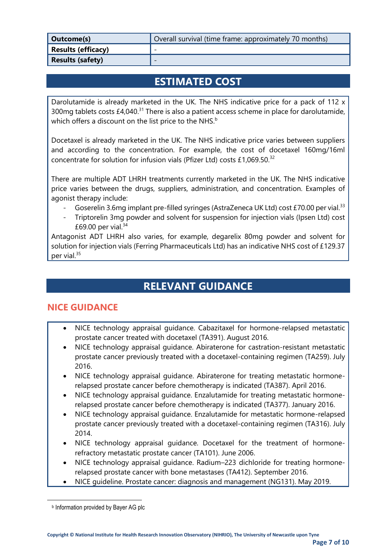| Outcome(s)                | Overall survival (time frame: approximately 70 months) |
|---------------------------|--------------------------------------------------------|
| <b>Results (efficacy)</b> | -                                                      |
| <b>Results (safety)</b>   | -                                                      |

### **ESTIMATED COST**

Darolutamide is already marketed in the UK. The NHS indicative price for a pack of 112 x 300mg tablets costs  $£4,040.<sup>31</sup>$  There is also a patient access scheme in place for darolutamide, which offers a discount on the list price to the NHS. $^{\rm b}$ 

Docetaxel is already marketed in the UK. The NHS indicative price varies between suppliers and according to the concentration. For example, the cost of docetaxel 160mg/16ml concentrate for solution for infusion vials (Pfizer Ltd) costs £1,069.50.<sup>32</sup>

There are multiple ADT LHRH treatments currently marketed in the UK. The NHS indicative price varies between the drugs, suppliers, administration, and concentration. Examples of agonist therapy include:

- Goserelin 3.6mg implant pre-filled syringes (AstraZeneca UK Ltd) cost £70.00 per vial.<sup>33</sup>
- Triptorelin 3mg powder and solvent for suspension for injection vials (Ipsen Ltd) cost £69.00 per vial. $34$

Antagonist ADT LHRH also varies, for example, degarelix 80mg powder and solvent for solution for injection vials (Ferring Pharmaceuticals Ltd) has an indicative NHS cost of £129.37 per vial.<sup>35</sup>

### **RELEVANT GUIDANCE**

#### **NICE GUIDANCE**

- NICE technology appraisal guidance. Cabazitaxel for hormone-relapsed metastatic prostate cancer treated with docetaxel (TA391). August 2016.
- NICE technology appraisal guidance. Abiraterone for castration-resistant metastatic prostate cancer previously treated with a docetaxel-containing regimen (TA259). July 2016.
- NICE technology appraisal guidance. Abiraterone for treating metastatic hormonerelapsed prostate cancer before chemotherapy is indicated (TA387). April 2016.
- NICE technology appraisal guidance. Enzalutamide for treating metastatic hormonerelapsed prostate cancer before chemotherapy is indicated (TA377). January 2016.
- NICE technology appraisal guidance. Enzalutamide for metastatic hormone-relapsed prostate cancer previously treated with a docetaxel-containing regimen (TA316). July 2014.
- NICE technology appraisal guidance. Docetaxel for the treatment of hormonerefractory metastatic prostate cancer (TA101). June 2006.
- NICE technology appraisal guidance. Radium–223 dichloride for treating hormonerelapsed prostate cancer with bone metastases (TA412). September 2016.
- NICE guideline. Prostate cancer: diagnosis and management (NG131). May 2019.

**b** Information provided by Bayer AG plc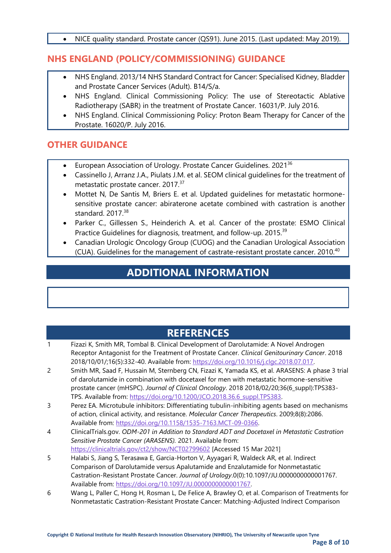• NICE quality standard. Prostate cancer (QS91). June 2015. (Last updated: May 2019).

#### **NHS ENGLAND (POLICY/COMMISSIONING) GUIDANCE**

- NHS England. 2013/14 NHS Standard Contract for Cancer: Specialised Kidney, Bladder and Prostate Cancer Services (Adult). B14/S/a.
- NHS England. Clinical Commissioning Policy: The use of Stereotactic Ablative Radiotherapy (SABR) in the treatment of Prostate Cancer. 16031/P. July 2016.
- NHS England. Clinical Commissioning Policy: Proton Beam Therapy for Cancer of the Prostate. 16020/P. July 2016.

#### **OTHER GUIDANCE**

- European Association of Urology. Prostate Cancer Guidelines. 2021<sup>36</sup>
- Cassinello J, Arranz J.A., Piulats J.M. et al. SEOM clinical guidelines for the treatment of metastatic prostate cancer. 2017.<sup>37</sup>
- Mottet N, De Santis M, Briers E. et al. Updated guidelines for metastatic hormonesensitive prostate cancer: abiraterone acetate combined with castration is another standard. 2017.<sup>38</sup>
- Parker C., Gillessen S., Heinderich A. et al. Cancer of the prostate: ESMO Clinical Practice Guidelines for diagnosis, treatment, and follow-up. 2015.<sup>39</sup>
- Canadian Urologic Oncology Group (CUOG) and the Canadian Urological Association (CUA). Guidelines for the management of castrate-resistant prostate cancer. 2010.<sup>40</sup>

### **ADDITIONAL INFORMATION**

### **REFERENCES**

- 1 Fizazi K, Smith MR, Tombal B. Clinical Development of Darolutamide: A Novel Androgen Receptor Antagonist for the Treatment of Prostate Cancer. *Clinical Genitourinary Cancer*. 2018 2018/10/01/;16(5):332-40. Available from: [https://doi.org/10.1016/j.clgc.2018.07.017.](https://doi.org/10.1016/j.clgc.2018.07.017)
- 2 Smith MR, Saad F, Hussain M, Sternberg CN, Fizazi K, Yamada KS, et al. ARASENS: A phase 3 trial of darolutamide in combination with docetaxel for men with metastatic hormone-sensitive prostate cancer (mHSPC). *Journal of Clinical Oncology*. 2018 2018/02/20;36(6\_suppl):TPS383- TPS. Available from: [https://doi.org/10.1200/JCO.2018.36.6\\_suppl.TPS383.](https://doi.org/10.1200/JCO.2018.36.6_suppl.TPS383)
- 3 Perez EA. Microtubule inhibitors: Differentiating tubulin-inhibiting agents based on mechanisms of action, clinical activity, and resistance. *Molecular Cancer Therapeutics*. 2009;8(8):2086. Available from: [https://doi.org/10.1158/1535-7163.MCT-09-0366.](https://doi.org/10.1158/1535-7163.MCT-09-0366)
- 4 ClinicalTrials.gov. *ODM-201 in Addition to Standard ADT and Docetaxel in Metastatic Castration Sensitive Prostate Cancer (ARASENS).* 2021. Available from: <https://clinicaltrials.gov/ct2/show/NCT02799602> [Accessed 15 Mar 2021]
- 5 Halabi S, Jiang S, Terasawa E, Garcia-Horton V, Ayyagari R, Waldeck AR, et al. Indirect Comparison of Darolutamide versus Apalutamide and Enzalutamide for Nonmetastatic Castration-Resistant Prostate Cancer. *Journal of Urology*.0(0):10.1097/JU.0000000000001767. Available from: [https://doi.org/10.1097/JU.0000000000001767.](https://doi.org/10.1097/JU.0000000000001767)
- 6 Wang L, Paller C, Hong H, Rosman L, De Felice A, Brawley O, et al. Comparison of Treatments for Nonmetastatic Castration-Resistant Prostate Cancer: Matching-Adjusted Indirect Comparison

**Page 8 of 10**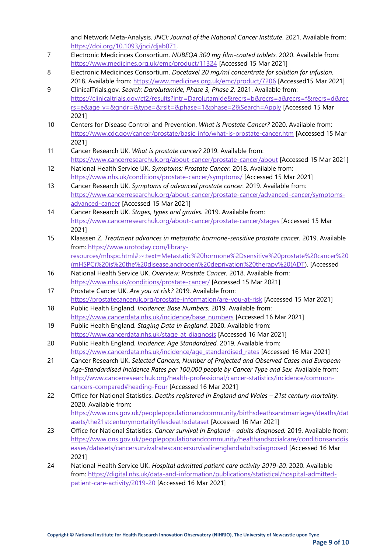and Network Meta-Analysis. *JNCI: Journal of the National Cancer Institute*. 2021. Available from: [https://doi.org/10.1093/jnci/djab071.](https://doi.org/10.1093/jnci/djab071)

- 7 Electronic Medicinces Consortium. *NUBEQA 300 mg film-coated tablets.* 2020. Available from: <https://www.medicines.org.uk/emc/product/11324> [Accessed 15 Mar 2021]
- 8 Electronic Medicinces Consortium. *Docetaxel 20 mg/ml concentrate for solution for infusion.* 2018. Available from:<https://www.medicines.org.uk/emc/product/7206> [Accessed15 Mar 2021]
- 9 ClinicalTrials.gov. *Search: Darolutamide, Phase 3, Phase 2.* 2021. Available from: [https://clinicaltrials.gov/ct2/results?intr=Darolutamide&recrs=b&recrs=a&recrs=f&recrs=d&rec](https://clinicaltrials.gov/ct2/results?intr=Darolutamide&recrs=b&recrs=a&recrs=f&recrs=d&recrs=e&age_v=&gndr=&type=&rslt=&phase=1&phase=2&Search=Apply) [rs=e&age\\_v=&gndr=&type=&rslt=&phase=1&phase=2&Search=Apply](https://clinicaltrials.gov/ct2/results?intr=Darolutamide&recrs=b&recrs=a&recrs=f&recrs=d&recrs=e&age_v=&gndr=&type=&rslt=&phase=1&phase=2&Search=Apply) [Accessed 15 Mar 2021]
- 10 Centers for Disease Control and Prevention. *What is Prostate Cancer?* 2020. Available from: [https://www.cdc.gov/cancer/prostate/basic\\_info/what-is-prostate-cancer.htm](https://www.cdc.gov/cancer/prostate/basic_info/what-is-prostate-cancer.htm) [Accessed 15 Mar 2021]
- 11 Cancer Research UK. *What is prostate cancer?* 2019. Available from: <https://www.cancerresearchuk.org/about-cancer/prostate-cancer/about> [Accessed 15 Mar 2021]
- 12 National Health Service UK. *Symptoms: Prostate Cancer.* 2018. Available from: <https://www.nhs.uk/conditions/prostate-cancer/symptoms/> [Accessed 15 Mar 2021]
- 13 Cancer Research UK. *Symptoms of advanced prostate cancer.* 2019. Available from: [https://www.cancerresearchuk.org/about-cancer/prostate-cancer/advanced-cancer/symptoms](https://www.cancerresearchuk.org/about-cancer/prostate-cancer/advanced-cancer/symptoms-advanced-cancer)[advanced-cancer](https://www.cancerresearchuk.org/about-cancer/prostate-cancer/advanced-cancer/symptoms-advanced-cancer) [Accessed 15 Mar 2021]
- 14 Cancer Research UK. *Stages, types and grades.* 2019. Available from: <https://www.cancerresearchuk.org/about-cancer/prostate-cancer/stages> [Accessed 15 Mar 2021]
- 15 Klaassen Z. *Treatment advances in metastatic hormone-sensitive prostate cancer.* 2019. Available from: [https://www.urotoday.com/library](https://www.urotoday.com/library-resources/mhspc.html#:~:text=Metastatic%20hormone%2Dsensitive%20prostate%20cancer%20(mHSPC)%20is%20the%20disease,androgen%20deprivation%20therapy%20(ADT)[resources/mhspc.html#:~:text=Metastatic%20hormone%2Dsensitive%20prostate%20cancer%20](https://www.urotoday.com/library-resources/mhspc.html#:~:text=Metastatic%20hormone%2Dsensitive%20prostate%20cancer%20(mHSPC)%20is%20the%20disease,androgen%20deprivation%20therapy%20(ADT) [\(mHSPC\)%20is%20the%20disease,androgen%20deprivation%20therapy%20\(ADT\)](https://www.urotoday.com/library-resources/mhspc.html#:~:text=Metastatic%20hormone%2Dsensitive%20prostate%20cancer%20(mHSPC)%20is%20the%20disease,androgen%20deprivation%20therapy%20(ADT). [Accessed
- 16 National Health Service UK. *Overview: Prostate Cancer.* 2018. Available from: <https://www.nhs.uk/conditions/prostate-cancer/> [Accessed 15 Mar 2021]
- 17 Prostate Cancer UK. *Are you at risk?* 2019. Available from: <https://prostatecanceruk.org/prostate-information/are-you-at-risk> [Accessed 15 Mar 2021]
- 18 Public Health England. *Incidence: Base Numbers.* 2019. Available from: [https://www.cancerdata.nhs.uk/incidence/base\\_numbers](https://www.cancerdata.nhs.uk/incidence/base_numbers) [Accessed 16 Mar 2021]
- 19 Public Health England. *Staging Data in England.* 2020. Available from: [https://www.cancerdata.nhs.uk/stage\\_at\\_diagnosis](https://www.cancerdata.nhs.uk/stage_at_diagnosis) [Accessed 16 Mar 2021]
- 20 Public Health England. *Incidence: Age Standardised.* 2019. Available from: [https://www.cancerdata.nhs.uk/incidence/age\\_standardised\\_rates](https://www.cancerdata.nhs.uk/incidence/age_standardised_rates) [Accessed 16 Mar 2021]
- 21 Cancer Research UK. *Selected Cancers, Number of Projected and Observed Cases and European Age-Standardised Incidence Rates per 100,000 people by Cancer Type and Sex.* Available from: [http://www.cancerresearchuk.org/health-professional/cancer-statistics/incidence/common](http://www.cancerresearchuk.org/health-professional/cancer-statistics/incidence/common-cancers-compared#heading-Four)[cancers-compared#heading-Four](http://www.cancerresearchuk.org/health-professional/cancer-statistics/incidence/common-cancers-compared#heading-Four) [Accessed 16 Mar 2021]
- 22 Office for National Statistics. *Deaths registered in England and Wales – 21st century mortality.* 2020. Available from:

[https://www.ons.gov.uk/peoplepopulationandcommunity/birthsdeathsandmarriages/deaths/dat](https://www.ons.gov.uk/peoplepopulationandcommunity/birthsdeathsandmarriages/deaths/datasets/the21stcenturymortalityfilesdeathsdataset) [asets/the21stcenturymortalityfilesdeathsdataset](https://www.ons.gov.uk/peoplepopulationandcommunity/birthsdeathsandmarriages/deaths/datasets/the21stcenturymortalityfilesdeathsdataset) [Accessed 16 Mar 2021]

- 23 Office for National Statistics. *Cancer survival in England - adults diagnosed.* 2019. Available from: [https://www.ons.gov.uk/peoplepopulationandcommunity/healthandsocialcare/conditionsanddis](https://www.ons.gov.uk/peoplepopulationandcommunity/healthandsocialcare/conditionsanddiseases/datasets/cancersurvivalratescancersurvivalinenglandadultsdiagnosed) [eases/datasets/cancersurvivalratescancersurvivalinenglandadultsdiagnosed](https://www.ons.gov.uk/peoplepopulationandcommunity/healthandsocialcare/conditionsanddiseases/datasets/cancersurvivalratescancersurvivalinenglandadultsdiagnosed) [Accessed 16 Mar 2021]
- 24 National Health Service UK. *Hospital admitted patient care activity 2019-20.* 2020. Available from: [https://digital.nhs.uk/data-and-information/publications/statistical/hospital-admitted](https://digital.nhs.uk/data-and-information/publications/statistical/hospital-admitted-patient-care-activity/2019-20)[patient-care-activity/2019-20](https://digital.nhs.uk/data-and-information/publications/statistical/hospital-admitted-patient-care-activity/2019-20) [Accessed 16 Mar 2021]

**Page 9 of 10**